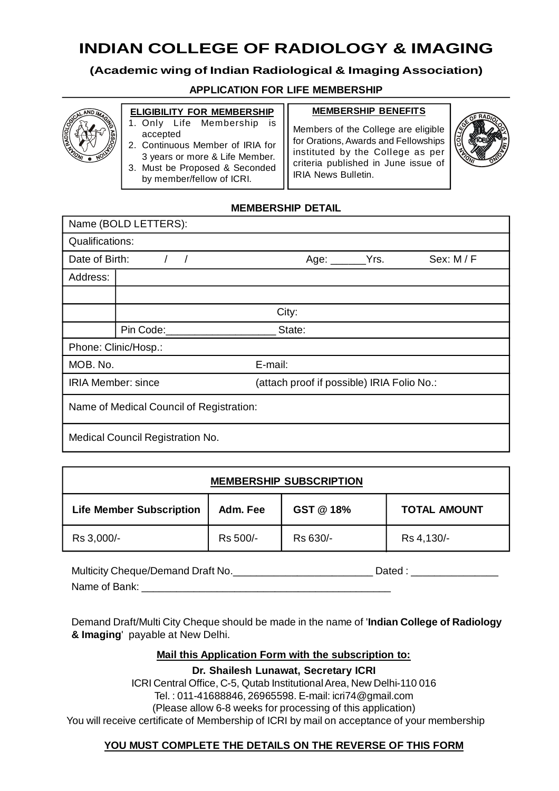# **INDIAN COLLEGE OF RADIOLOGY & IMAGING**

# **(Academic wing of Indian Radiological & Imaging Association)**

# **APPLICATION FOR LIFE MEMBERSHIP**



#### **ELIGIBILITY FOR MEMBERSHIP** 1. Only Life Membership is

2. Continuous Member of IRIA for 3 years or more & Life Member. 3. Must be Proposed & Seconded by member/fellow of ICRI.

accepted

#### **MEMBERSHIP BENEFITS**

Members of the College are eligible for Orations, Awards and Fellowships instituted by the College as per criteria published in June issue of IRIA News Bulletin.



# **MEMBERSHIP DETAIL**

| Name (BOLD LETTERS):                     |           |                                            |  |          |
|------------------------------------------|-----------|--------------------------------------------|--|----------|
| <b>Qualifications:</b>                   |           |                                            |  |          |
| Date of Birth:                           |           | Age: $\rule{1em}{0.15mm}$ Yrs.             |  | Sex: M/F |
| Address:                                 |           |                                            |  |          |
|                                          |           |                                            |  |          |
|                                          |           | City:                                      |  |          |
|                                          | Pin Code: | State:                                     |  |          |
| Phone: Clinic/Hosp.:                     |           |                                            |  |          |
| MOB. No.<br>E-mail:                      |           |                                            |  |          |
| <b>IRIA Member: since</b>                |           | (attach proof if possible) IRIA Folio No.: |  |          |
| Name of Medical Council of Registration: |           |                                            |  |          |
| Medical Council Registration No.         |           |                                            |  |          |

| <b>MEMBERSHIP SUBSCRIPTION</b>  |          |           |                     |
|---------------------------------|----------|-----------|---------------------|
| <b>Life Member Subscription</b> | Adm. Fee | GST @ 18% | <b>TOTAL AMOUNT</b> |
| Rs 3,000/-                      | Rs 500/- | Rs 630/-  | Rs 4, 130/-         |

Multicity Cheque/Demand Draft No. \_\_\_\_\_\_\_\_\_\_\_\_\_\_\_\_\_\_\_\_\_\_\_\_\_\_\_\_\_\_\_\_\_\_Dated : \_\_\_\_\_\_\_\_\_\_\_\_\_\_\_\_\_\_\_\_\_\_\_ Name of Bank:

Demand Draft/Multi City Cheque should be made in the name of '**Indian College of Radiology & Imaging**' payable at New Delhi.

#### **Mail this Application Form with the subscription to:**

**Dr. Shailesh Lunawat, Secretary ICRI**

ICRI Central Office, C-5, Qutab Institutional Area, New Delhi-110 016 Tel. : 011-41688846, 26965598. E-mail: icri74@gmail.com (Please allow 6-8 weeks for processing of this application) You will receive certificate of Membership of ICRI by mail on acceptance of your membership

# **YOU MUST COMPLETE THE DETAILS ON THE REVERSE OF THIS FORM**